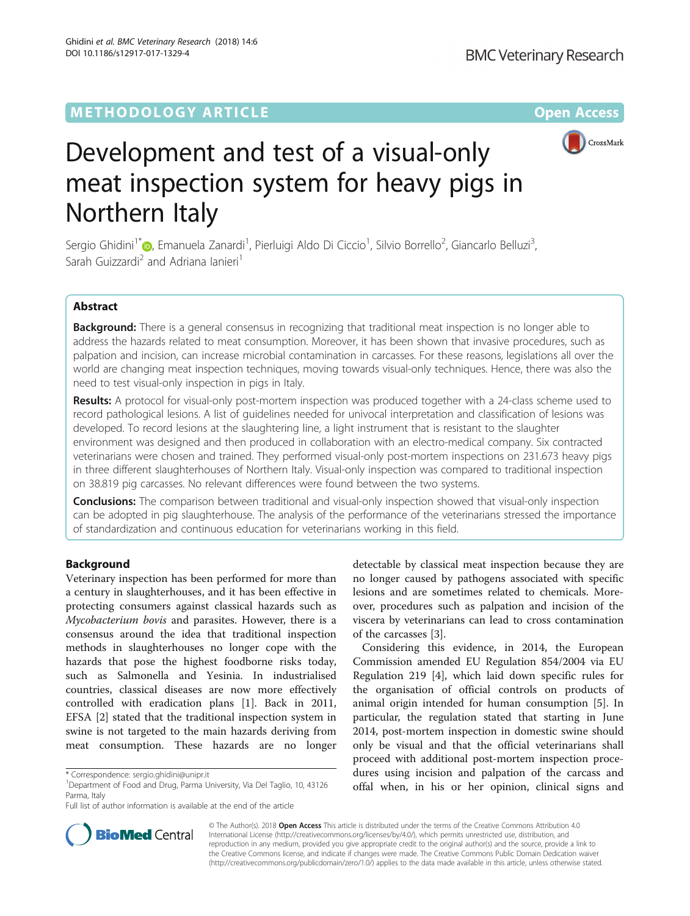## **METHODOLOGY ARTICLE CONSUMING A RESERVE AND LOGISTIC AND LOGISTIC ACCESS**



# Development and test of a visual-only meat inspection system for heavy pigs in Northern Italy

Sergio Ghidini<sup>1\*</sup>®, Emanuela Zanardi<sup>1</sup>, Pierluigi Aldo Di Ciccio<sup>1</sup>, Silvio Borrello<sup>2</sup>, Giancarlo Belluzi<sup>3</sup> , Sarah Guizzardi<sup>2</sup> and Adriana Janieri<sup>1</sup>

## Abstract

Background: There is a general consensus in recognizing that traditional meat inspection is no longer able to address the hazards related to meat consumption. Moreover, it has been shown that invasive procedures, such as palpation and incision, can increase microbial contamination in carcasses. For these reasons, legislations all over the world are changing meat inspection techniques, moving towards visual-only techniques. Hence, there was also the need to test visual-only inspection in pigs in Italy.

Results: A protocol for visual-only post-mortem inspection was produced together with a 24-class scheme used to record pathological lesions. A list of guidelines needed for univocal interpretation and classification of lesions was developed. To record lesions at the slaughtering line, a light instrument that is resistant to the slaughter environment was designed and then produced in collaboration with an electro-medical company. Six contracted veterinarians were chosen and trained. They performed visual-only post-mortem inspections on 231.673 heavy pigs in three different slaughterhouses of Northern Italy. Visual-only inspection was compared to traditional inspection on 38.819 pig carcasses. No relevant differences were found between the two systems.

**Conclusions:** The comparison between traditional and visual-only inspection showed that visual-only inspection can be adopted in pig slaughterhouse. The analysis of the performance of the veterinarians stressed the importance of standardization and continuous education for veterinarians working in this field.

## Background

Veterinary inspection has been performed for more than a century in slaughterhouses, and it has been effective in protecting consumers against classical hazards such as Mycobacterium bovis and parasites. However, there is a consensus around the idea that traditional inspection methods in slaughterhouses no longer cope with the hazards that pose the highest foodborne risks today, such as Salmonella and Yesinia. In industrialised countries, classical diseases are now more effectively controlled with eradication plans [[1\]](#page-9-0). Back in 2011, EFSA [[2\]](#page-9-0) stated that the traditional inspection system in swine is not targeted to the main hazards deriving from meat consumption. These hazards are no longer

detectable by classical meat inspection because they are no longer caused by pathogens associated with specific lesions and are sometimes related to chemicals. Moreover, procedures such as palpation and incision of the viscera by veterinarians can lead to cross contamination of the carcasses [[3\]](#page-9-0).

Considering this evidence, in 2014, the European Commission amended EU Regulation 854/2004 via EU Regulation 219 [[4\]](#page-9-0), which laid down specific rules for the organisation of official controls on products of animal origin intended for human consumption [\[5](#page-9-0)]. In particular, the regulation stated that starting in June 2014, post-mortem inspection in domestic swine should only be visual and that the official veterinarians shall proceed with additional post-mortem inspection procedures using incision and palpation of the carcass and offal when, in his or her opinion, clinical signs and



© The Author(s). 2018 Open Access This article is distributed under the terms of the Creative Commons Attribution 4.0 International License [\(http://creativecommons.org/licenses/by/4.0/](http://creativecommons.org/licenses/by/4.0/)), which permits unrestricted use, distribution, and reproduction in any medium, provided you give appropriate credit to the original author(s) and the source, provide a link to the Creative Commons license, and indicate if changes were made. The Creative Commons Public Domain Dedication waiver [\(http://creativecommons.org/publicdomain/zero/1.0/](http://creativecommons.org/publicdomain/zero/1.0/)) applies to the data made available in this article, unless otherwise stated.

<sup>\*</sup> Correspondence: [sergio.ghidini@unipr.it](mailto:sergio.ghidini@unipr.it) <sup>1</sup>

Department of Food and Drug, Parma University, Via Del Taglio, 10, 43126 Parma, Italy

Full list of author information is available at the end of the article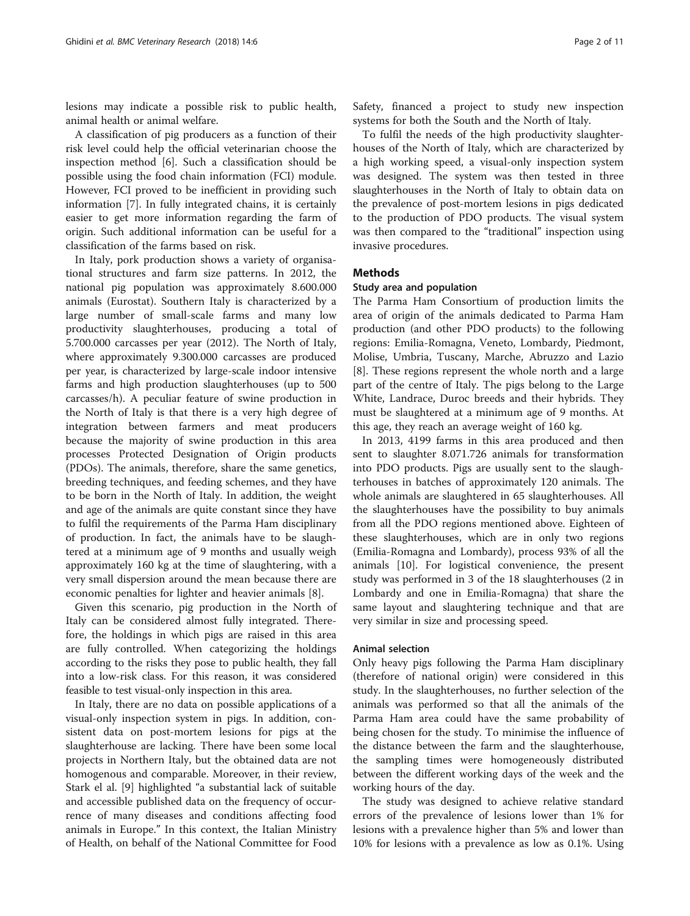lesions may indicate a possible risk to public health, animal health or animal welfare.

A classification of pig producers as a function of their risk level could help the official veterinarian choose the inspection method [[6\]](#page-9-0). Such a classification should be possible using the food chain information (FCI) module. However, FCI proved to be inefficient in providing such information [[7\]](#page-9-0). In fully integrated chains, it is certainly easier to get more information regarding the farm of origin. Such additional information can be useful for a classification of the farms based on risk.

In Italy, pork production shows a variety of organisational structures and farm size patterns. In 2012, the national pig population was approximately 8.600.000 animals (Eurostat). Southern Italy is characterized by a large number of small-scale farms and many low productivity slaughterhouses, producing a total of 5.700.000 carcasses per year (2012). The North of Italy, where approximately 9.300.000 carcasses are produced per year, is characterized by large-scale indoor intensive farms and high production slaughterhouses (up to 500 carcasses/h). A peculiar feature of swine production in the North of Italy is that there is a very high degree of integration between farmers and meat producers because the majority of swine production in this area processes Protected Designation of Origin products (PDOs). The animals, therefore, share the same genetics, breeding techniques, and feeding schemes, and they have to be born in the North of Italy. In addition, the weight and age of the animals are quite constant since they have to fulfil the requirements of the Parma Ham disciplinary of production. In fact, the animals have to be slaughtered at a minimum age of 9 months and usually weigh approximately 160 kg at the time of slaughtering, with a very small dispersion around the mean because there are economic penalties for lighter and heavier animals [[8](#page-9-0)].

Given this scenario, pig production in the North of Italy can be considered almost fully integrated. Therefore, the holdings in which pigs are raised in this area are fully controlled. When categorizing the holdings according to the risks they pose to public health, they fall into a low-risk class. For this reason, it was considered feasible to test visual-only inspection in this area.

In Italy, there are no data on possible applications of a visual-only inspection system in pigs. In addition, consistent data on post-mortem lesions for pigs at the slaughterhouse are lacking. There have been some local projects in Northern Italy, but the obtained data are not homogenous and comparable. Moreover, in their review, Stark el al. [[9\]](#page-9-0) highlighted "a substantial lack of suitable and accessible published data on the frequency of occurrence of many diseases and conditions affecting food animals in Europe." In this context, the Italian Ministry of Health, on behalf of the National Committee for Food Safety, financed a project to study new inspection systems for both the South and the North of Italy.

To fulfil the needs of the high productivity slaughterhouses of the North of Italy, which are characterized by a high working speed, a visual-only inspection system was designed. The system was then tested in three slaughterhouses in the North of Italy to obtain data on the prevalence of post-mortem lesions in pigs dedicated to the production of PDO products. The visual system was then compared to the "traditional" inspection using invasive procedures.

## Methods

## Study area and population

The Parma Ham Consortium of production limits the area of origin of the animals dedicated to Parma Ham production (and other PDO products) to the following regions: Emilia-Romagna, Veneto, Lombardy, Piedmont, Molise, Umbria, Tuscany, Marche, Abruzzo and Lazio [[8\]](#page-9-0). These regions represent the whole north and a large part of the centre of Italy. The pigs belong to the Large White, Landrace, Duroc breeds and their hybrids. They must be slaughtered at a minimum age of 9 months. At this age, they reach an average weight of 160 kg.

In 2013, 4199 farms in this area produced and then sent to slaughter 8.071.726 animals for transformation into PDO products. Pigs are usually sent to the slaughterhouses in batches of approximately 120 animals. The whole animals are slaughtered in 65 slaughterhouses. All the slaughterhouses have the possibility to buy animals from all the PDO regions mentioned above. Eighteen of these slaughterhouses, which are in only two regions (Emilia-Romagna and Lombardy), process 93% of all the animals [[10\]](#page-9-0). For logistical convenience, the present study was performed in 3 of the 18 slaughterhouses (2 in Lombardy and one in Emilia-Romagna) that share the same layout and slaughtering technique and that are very similar in size and processing speed.

#### Animal selection

Only heavy pigs following the Parma Ham disciplinary (therefore of national origin) were considered in this study. In the slaughterhouses, no further selection of the animals was performed so that all the animals of the Parma Ham area could have the same probability of being chosen for the study. To minimise the influence of the distance between the farm and the slaughterhouse, the sampling times were homogeneously distributed between the different working days of the week and the working hours of the day.

The study was designed to achieve relative standard errors of the prevalence of lesions lower than 1% for lesions with a prevalence higher than 5% and lower than 10% for lesions with a prevalence as low as 0.1%. Using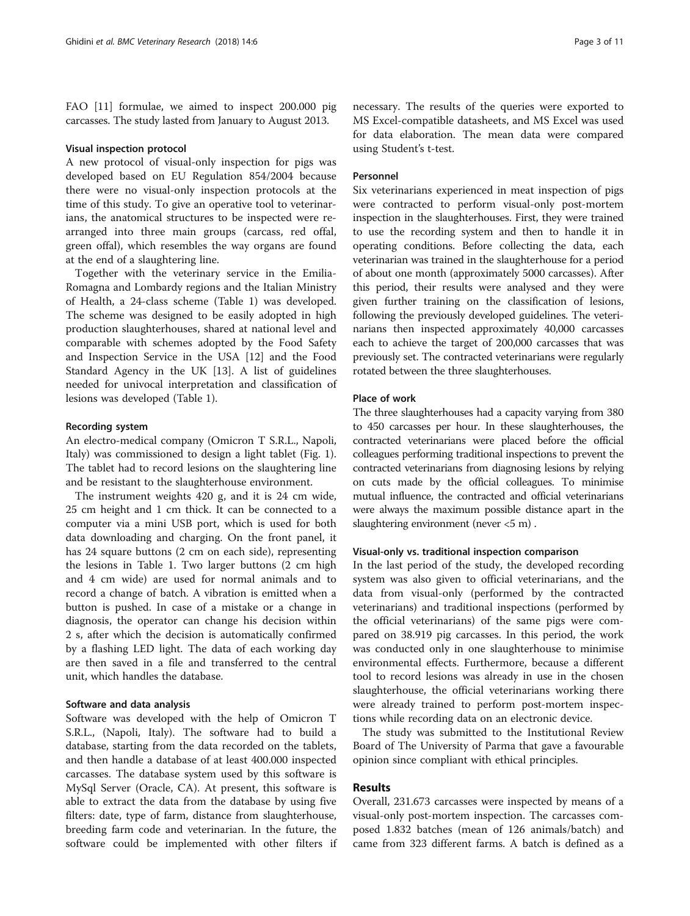FAO [\[11](#page-9-0)] formulae, we aimed to inspect 200.000 pig carcasses. The study lasted from January to August 2013.

#### Visual inspection protocol

A new protocol of visual-only inspection for pigs was developed based on EU Regulation 854/2004 because there were no visual-only inspection protocols at the time of this study. To give an operative tool to veterinarians, the anatomical structures to be inspected were rearranged into three main groups (carcass, red offal, green offal), which resembles the way organs are found at the end of a slaughtering line.

Together with the veterinary service in the Emilia-Romagna and Lombardy regions and the Italian Ministry of Health, a 24-class scheme (Table [1\)](#page-3-0) was developed. The scheme was designed to be easily adopted in high production slaughterhouses, shared at national level and comparable with schemes adopted by the Food Safety and Inspection Service in the USA [\[12\]](#page-9-0) and the Food Standard Agency in the UK [[13\]](#page-9-0). A list of guidelines needed for univocal interpretation and classification of lesions was developed (Table [1\)](#page-3-0).

#### Recording system

An electro-medical company (Omicron T S.R.L., Napoli, Italy) was commissioned to design a light tablet (Fig. [1](#page-4-0)). The tablet had to record lesions on the slaughtering line and be resistant to the slaughterhouse environment.

The instrument weights 420 g, and it is 24 cm wide, 25 cm height and 1 cm thick. It can be connected to a computer via a mini USB port, which is used for both data downloading and charging. On the front panel, it has 24 square buttons (2 cm on each side), representing the lesions in Table [1](#page-3-0). Two larger buttons (2 cm high and 4 cm wide) are used for normal animals and to record a change of batch. A vibration is emitted when a button is pushed. In case of a mistake or a change in diagnosis, the operator can change his decision within 2 s, after which the decision is automatically confirmed by a flashing LED light. The data of each working day are then saved in a file and transferred to the central unit, which handles the database.

## Software and data analysis

Software was developed with the help of Omicron T S.R.L., (Napoli, Italy). The software had to build a database, starting from the data recorded on the tablets, and then handle a database of at least 400.000 inspected carcasses. The database system used by this software is MySql Server (Oracle, CA). At present, this software is able to extract the data from the database by using five filters: date, type of farm, distance from slaughterhouse, breeding farm code and veterinarian. In the future, the software could be implemented with other filters if

necessary. The results of the queries were exported to MS Excel-compatible datasheets, and MS Excel was used for data elaboration. The mean data were compared using Student's t-test.

## Personnel

Six veterinarians experienced in meat inspection of pigs were contracted to perform visual-only post-mortem inspection in the slaughterhouses. First, they were trained to use the recording system and then to handle it in operating conditions. Before collecting the data, each veterinarian was trained in the slaughterhouse for a period of about one month (approximately 5000 carcasses). After this period, their results were analysed and they were given further training on the classification of lesions, following the previously developed guidelines. The veterinarians then inspected approximately 40,000 carcasses each to achieve the target of 200,000 carcasses that was previously set. The contracted veterinarians were regularly rotated between the three slaughterhouses.

## Place of work

The three slaughterhouses had a capacity varying from 380 to 450 carcasses per hour. In these slaughterhouses, the contracted veterinarians were placed before the official colleagues performing traditional inspections to prevent the contracted veterinarians from diagnosing lesions by relying on cuts made by the official colleagues. To minimise mutual influence, the contracted and official veterinarians were always the maximum possible distance apart in the slaughtering environment (never <5 m) .

## Visual-only vs. traditional inspection comparison

In the last period of the study, the developed recording system was also given to official veterinarians, and the data from visual-only (performed by the contracted veterinarians) and traditional inspections (performed by the official veterinarians) of the same pigs were compared on 38.919 pig carcasses. In this period, the work was conducted only in one slaughterhouse to minimise environmental effects. Furthermore, because a different tool to record lesions was already in use in the chosen slaughterhouse, the official veterinarians working there were already trained to perform post-mortem inspections while recording data on an electronic device.

The study was submitted to the Institutional Review Board of The University of Parma that gave a favourable opinion since compliant with ethical principles.

## Results

Overall, 231.673 carcasses were inspected by means of a visual-only post-mortem inspection. The carcasses composed 1.832 batches (mean of 126 animals/batch) and came from 323 different farms. A batch is defined as a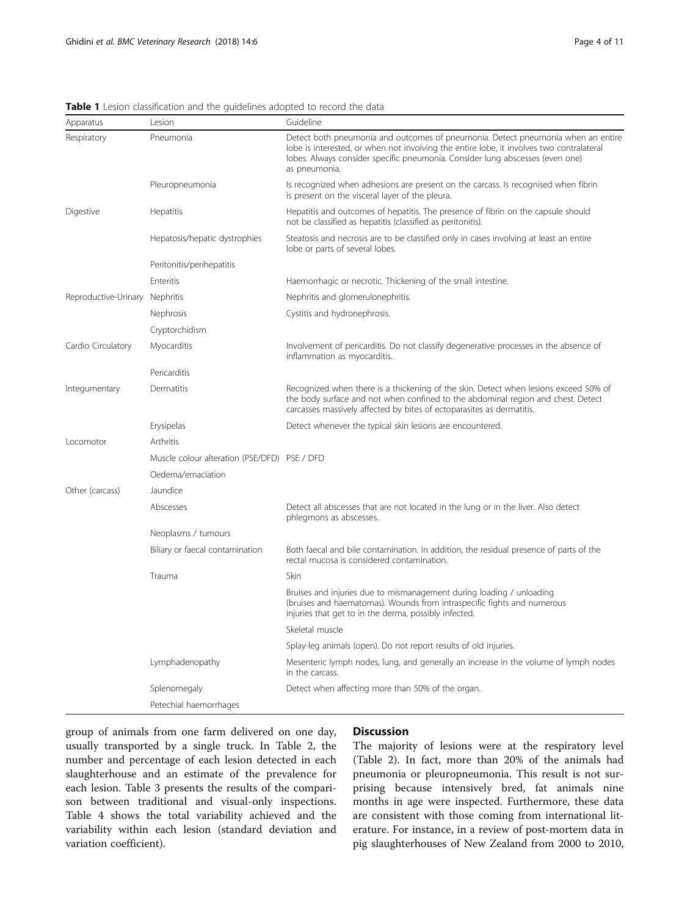| Respiratory                    | Pneumonia                                    | Detect both pneumonia and outcomes of pneumonia. Detect pneumonia when an entire<br>lobe is interested, or when not involving the entire lobe, it involves two contralateral<br>lobes. Always consider specific pneumonia. Consider lung abscesses (even one)<br>as pneumonia. |
|--------------------------------|----------------------------------------------|--------------------------------------------------------------------------------------------------------------------------------------------------------------------------------------------------------------------------------------------------------------------------------|
|                                | Pleuropneumonia                              | Is recognized when adhesions are present on the carcass. Is recognised when fibrin<br>is present on the visceral layer of the pleura.                                                                                                                                          |
| Digestive                      | <b>Hepatitis</b>                             | Hepatitis and outcomes of hepatitis. The presence of fibrin on the capsule should<br>not be classified as hepatitis (classified as peritonitis).                                                                                                                               |
|                                | Hepatosis/hepatic dystrophies                | Steatosis and necrosis are to be classified only in cases involving at least an entire<br>lobe or parts of several lobes.                                                                                                                                                      |
|                                | Peritonitis/perihepatitis                    |                                                                                                                                                                                                                                                                                |
|                                | Enteritis                                    | Haemorrhagic or necrotic. Thickening of the small intestine.                                                                                                                                                                                                                   |
| Reproductive-Urinary Nephritis |                                              | Nephritis and glomerulonephritis.                                                                                                                                                                                                                                              |
|                                | <b>Nephrosis</b>                             | Cystitis and hydronephrosis.                                                                                                                                                                                                                                                   |
|                                | Cryptorchidism                               |                                                                                                                                                                                                                                                                                |
| Cardio Circulatory             | Myocarditis                                  | Involvement of pericarditis. Do not classify degenerative processes in the absence of<br>inflammation as myocarditis.                                                                                                                                                          |
|                                | Pericarditis                                 |                                                                                                                                                                                                                                                                                |
| Integumentary                  | Dermatitis                                   | Recognized when there is a thickening of the skin. Detect when lesions exceed 50% of<br>the body surface and not when confined to the abdominal region and chest. Detect<br>carcasses massively affected by bites of ectoparasites as dermatitis.                              |
|                                | Erysipelas                                   | Detect whenever the typical skin lesions are encountered.                                                                                                                                                                                                                      |
| Locomotor                      | Arthritis                                    |                                                                                                                                                                                                                                                                                |
|                                | Muscle colour alteration (PSE/DFD) PSE / DFD |                                                                                                                                                                                                                                                                                |
|                                | Oedema/emaciation                            |                                                                                                                                                                                                                                                                                |
| Other (carcass)                | Jaundice                                     |                                                                                                                                                                                                                                                                                |
|                                | Abscesses                                    | Detect all abscesses that are not located in the lung or in the liver. Also detect<br>phlegmons as abscesses.                                                                                                                                                                  |
|                                | Neoplasms / tumours                          |                                                                                                                                                                                                                                                                                |
|                                | Biliary or faecal contamination              | Both faecal and bile contamination. In addition, the residual presence of parts of the<br>rectal mucosa is considered contamination.                                                                                                                                           |
|                                | Trauma                                       | Skin                                                                                                                                                                                                                                                                           |
|                                |                                              | Bruises and injuries due to mismanagement during loading / unloading<br>(bruises and haematomas). Wounds from intraspecific fights and numerous<br>injuries that get to in the derma, possibly infected.                                                                       |
|                                |                                              | Skeletal muscle                                                                                                                                                                                                                                                                |
|                                |                                              | Splay-leg animals (open). Do not report results of old injuries.                                                                                                                                                                                                               |
|                                | Lymphadenopathy                              | Mesenteric lymph nodes, lung, and generally an increase in the volume of lymph nodes<br>in the carcass.                                                                                                                                                                        |
|                                | Splenomegaly                                 | Detect when affecting more than 50% of the organ.                                                                                                                                                                                                                              |
|                                | Petechial haemorrhages                       |                                                                                                                                                                                                                                                                                |

<span id="page-3-0"></span>Table 1 Lesion classification and the quidelines adopted to record the data

Apparatus Lesion Lesion Guideline

group of animals from one farm delivered on one day, usually transported by a single truck. In Table [2](#page-5-0), the number and percentage of each lesion detected in each slaughterhouse and an estimate of the prevalence for each lesion. Table [3](#page-6-0) presents the results of the comparison between traditional and visual-only inspections. Table [4](#page-7-0) shows the total variability achieved and the variability within each lesion (standard deviation and variation coefficient).

## **Discussion**

The majority of lesions were at the respiratory level (Table [2\)](#page-5-0). In fact, more than 20% of the animals had pneumonia or pleuropneumonia. This result is not surprising because intensively bred, fat animals nine months in age were inspected. Furthermore, these data are consistent with those coming from international literature. For instance, in a review of post-mortem data in pig slaughterhouses of New Zealand from 2000 to 2010,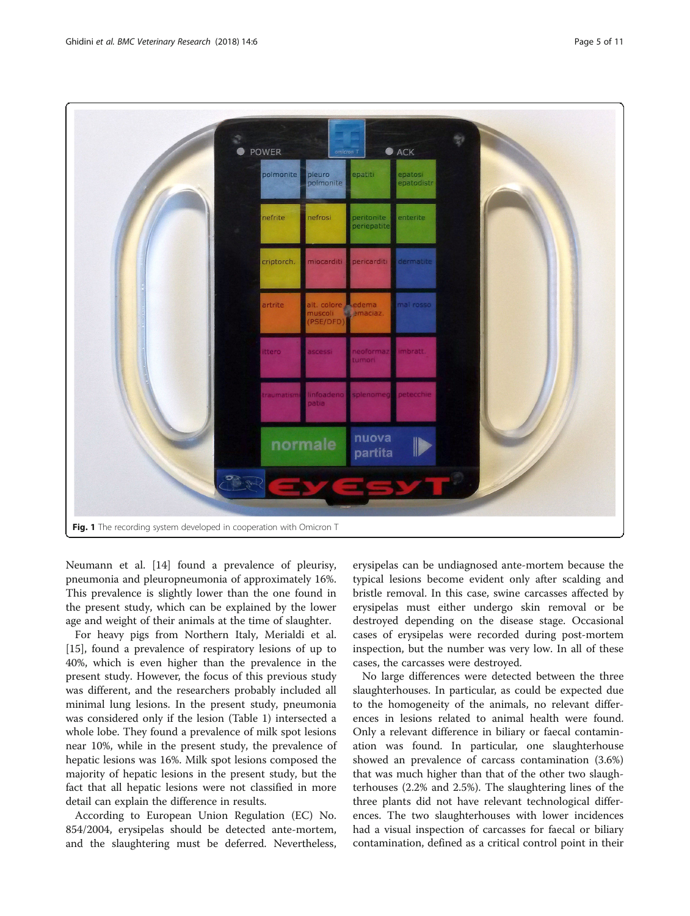<span id="page-4-0"></span>

Neumann et al. [[14](#page-9-0)] found a prevalence of pleurisy, pneumonia and pleuropneumonia of approximately 16%. This prevalence is slightly lower than the one found in the present study, which can be explained by the lower age and weight of their animals at the time of slaughter.

For heavy pigs from Northern Italy, Merialdi et al. [[15\]](#page-9-0), found a prevalence of respiratory lesions of up to 40%, which is even higher than the prevalence in the present study. However, the focus of this previous study was different, and the researchers probably included all minimal lung lesions. In the present study, pneumonia was considered only if the lesion (Table [1](#page-3-0)) intersected a whole lobe. They found a prevalence of milk spot lesions near 10%, while in the present study, the prevalence of hepatic lesions was 16%. Milk spot lesions composed the majority of hepatic lesions in the present study, but the fact that all hepatic lesions were not classified in more detail can explain the difference in results.

According to European Union Regulation (EC) No. 854/2004, erysipelas should be detected ante-mortem, and the slaughtering must be deferred. Nevertheless, erysipelas can be undiagnosed ante-mortem because the typical lesions become evident only after scalding and bristle removal. In this case, swine carcasses affected by erysipelas must either undergo skin removal or be destroyed depending on the disease stage. Occasional cases of erysipelas were recorded during post-mortem inspection, but the number was very low. In all of these cases, the carcasses were destroyed.

No large differences were detected between the three slaughterhouses. In particular, as could be expected due to the homogeneity of the animals, no relevant differences in lesions related to animal health were found. Only a relevant difference in biliary or faecal contamination was found. In particular, one slaughterhouse showed an prevalence of carcass contamination (3.6%) that was much higher than that of the other two slaughterhouses (2.2% and 2.5%). The slaughtering lines of the three plants did not have relevant technological differences. The two slaughterhouses with lower incidences had a visual inspection of carcasses for faecal or biliary contamination, defined as a critical control point in their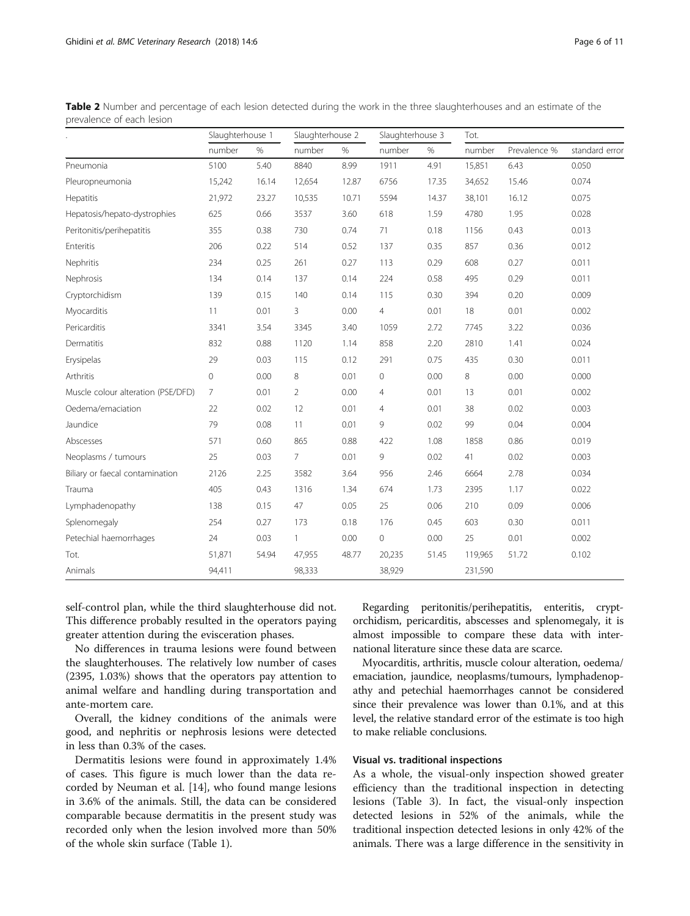|                                    | Slaughterhouse 1 |       | Slaughterhouse 2 |       | Slaughterhouse 3 |       | Tot.    |              |                |
|------------------------------------|------------------|-------|------------------|-------|------------------|-------|---------|--------------|----------------|
|                                    | number           | %     | number           | $\%$  | number           | $\%$  | number  | Prevalence % | standard error |
| Pneumonia                          | 5100             | 5.40  | 8840             | 8.99  | 1911             | 4.91  | 15,851  | 6.43         | 0.050          |
| Pleuropneumonia                    | 15,242           | 16.14 | 12,654           | 12.87 | 6756             | 17.35 | 34,652  | 15.46        | 0.074          |
| Hepatitis                          | 21,972           | 23.27 | 10,535           | 10.71 | 5594             | 14.37 | 38,101  | 16.12        | 0.075          |
| Hepatosis/hepato-dystrophies       | 625              | 0.66  | 3537             | 3.60  | 618              | 1.59  | 4780    | 1.95         | 0.028          |
| Peritonitis/perihepatitis          | 355              | 0.38  | 730              | 0.74  | 71               | 0.18  | 1156    | 0.43         | 0.013          |
| Enteritis                          | 206              | 0.22  | 514              | 0.52  | 137              | 0.35  | 857     | 0.36         | 0.012          |
| Nephritis                          | 234              | 0.25  | 261              | 0.27  | 113              | 0.29  | 608     | 0.27         | 0.011          |
| Nephrosis                          | 134              | 0.14  | 137              | 0.14  | 224              | 0.58  | 495     | 0.29         | 0.011          |
| Cryptorchidism                     | 139              | 0.15  | 140              | 0.14  | 115              | 0.30  | 394     | 0.20         | 0.009          |
| Myocarditis                        | 11               | 0.01  | 3                | 0.00  | $\overline{4}$   | 0.01  | 18      | 0.01         | 0.002          |
| Pericarditis                       | 3341             | 3.54  | 3345             | 3.40  | 1059             | 2.72  | 7745    | 3.22         | 0.036          |
| Dermatitis                         | 832              | 0.88  | 1120             | 1.14  | 858              | 2.20  | 2810    | 1.41         | 0.024          |
| Erysipelas                         | 29               | 0.03  | 115              | 0.12  | 291              | 0.75  | 435     | 0.30         | 0.011          |
| Arthritis                          | $\mathbf{0}$     | 0.00  | 8                | 0.01  | $\circ$          | 0.00  | 8       | 0.00         | 0.000          |
| Muscle colour alteration (PSE/DFD) | 7                | 0.01  | $\overline{2}$   | 0.00  | $\overline{4}$   | 0.01  | 13      | 0.01         | 0.002          |
| Oedema/emaciation                  | 22               | 0.02  | 12               | 0.01  | $\overline{4}$   | 0.01  | 38      | 0.02         | 0.003          |
| Jaundice                           | 79               | 0.08  | 11               | 0.01  | 9                | 0.02  | 99      | 0.04         | 0.004          |
| Abscesses                          | 571              | 0.60  | 865              | 0.88  | 422              | 1.08  | 1858    | 0.86         | 0.019          |
| Neoplasms / tumours                | 25               | 0.03  | $\overline{7}$   | 0.01  | 9                | 0.02  | 41      | 0.02         | 0.003          |
| Biliary or faecal contamination    | 2126             | 2.25  | 3582             | 3.64  | 956              | 2.46  | 6664    | 2.78         | 0.034          |
| Trauma                             | 405              | 0.43  | 1316             | 1.34  | 674              | 1.73  | 2395    | 1.17         | 0.022          |
| Lymphadenopathy                    | 138              | 0.15  | 47               | 0.05  | 25               | 0.06  | 210     | 0.09         | 0.006          |
| Splenomegaly                       | 254              | 0.27  | 173              | 0.18  | 176              | 0.45  | 603     | 0.30         | 0.011          |
| Petechial haemorrhages             | 24               | 0.03  | $\mathbf{1}$     | 0.00  | $\circledcirc$   | 0.00  | 25      | 0.01         | 0.002          |
| Tot.                               | 51,871           | 54.94 | 47,955           | 48.77 | 20,235           | 51.45 | 119,965 | 51.72        | 0.102          |
| Animals                            | 94,411           |       | 98,333           |       | 38,929           |       | 231,590 |              |                |

<span id="page-5-0"></span>Table 2 Number and percentage of each lesion detected during the work in the three slaughterhouses and an estimate of the prevalence of each lesion

self-control plan, while the third slaughterhouse did not. This difference probably resulted in the operators paying greater attention during the evisceration phases.

No differences in trauma lesions were found between the slaughterhouses. The relatively low number of cases (2395, 1.03%) shows that the operators pay attention to animal welfare and handling during transportation and ante-mortem care.

Overall, the kidney conditions of the animals were good, and nephritis or nephrosis lesions were detected in less than 0.3% of the cases.

Dermatitis lesions were found in approximately 1.4% of cases. This figure is much lower than the data recorded by Neuman et al. [\[14\]](#page-9-0), who found mange lesions in 3.6% of the animals. Still, the data can be considered comparable because dermatitis in the present study was recorded only when the lesion involved more than 50% of the whole skin surface (Table [1](#page-3-0)).

Regarding peritonitis/perihepatitis, enteritis, cryptorchidism, pericarditis, abscesses and splenomegaly, it is almost impossible to compare these data with international literature since these data are scarce.

Myocarditis, arthritis, muscle colour alteration, oedema/ emaciation, jaundice, neoplasms/tumours, lymphadenopathy and petechial haemorrhages cannot be considered since their prevalence was lower than 0.1%, and at this level, the relative standard error of the estimate is too high to make reliable conclusions.

## Visual vs. traditional inspections

As a whole, the visual-only inspection showed greater efficiency than the traditional inspection in detecting lesions (Table [3\)](#page-6-0). In fact, the visual-only inspection detected lesions in 52% of the animals, while the traditional inspection detected lesions in only 42% of the animals. There was a large difference in the sensitivity in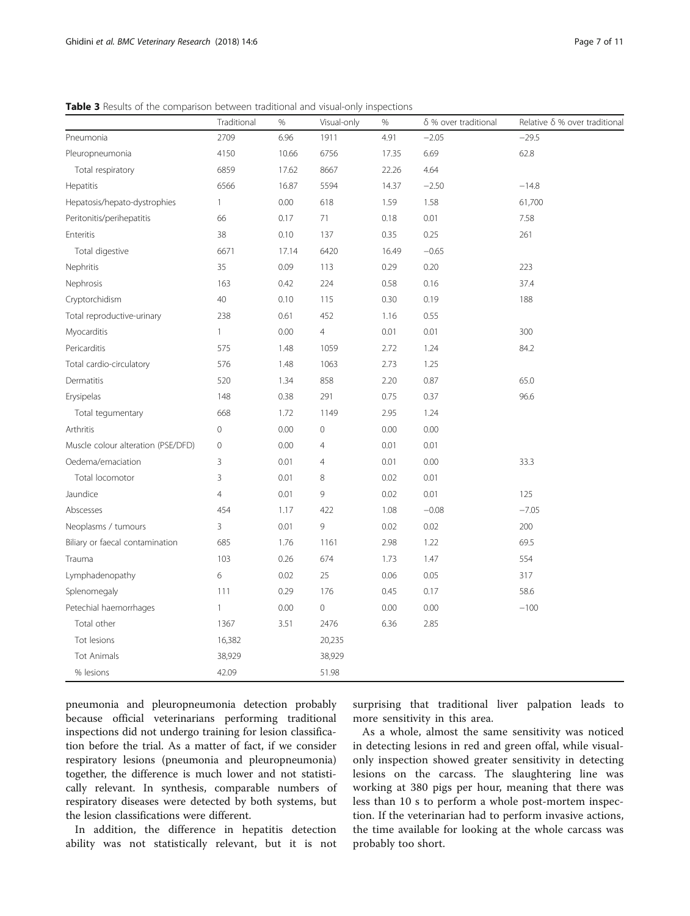<span id="page-6-0"></span>Table 3 Results of the comparison between traditional and visual-only inspections

|                                    | Traditional  | $\%$  | Visual-only    | $\%$  | $\delta$ % over traditional | Relative $\delta$ % over traditiona |
|------------------------------------|--------------|-------|----------------|-------|-----------------------------|-------------------------------------|
| Pneumonia                          | 2709         | 6.96  | 1911           | 4.91  | $-2.05$                     | $-29.5$                             |
| Pleuropneumonia                    | 4150         | 10.66 | 6756           | 17.35 | 6.69                        | 62.8                                |
| Total respiratory                  | 6859         | 17.62 | 8667           | 22.26 | 4.64                        |                                     |
| Hepatitis                          | 6566         | 16.87 | 5594           | 14.37 | $-2.50$                     | $-14.8$                             |
| Hepatosis/hepato-dystrophies       | 1            | 0.00  | 618            | 1.59  | 1.58                        | 61,700                              |
| Peritonitis/perihepatitis          | 66           | 0.17  | 71             | 0.18  | 0.01                        | 7.58                                |
| Enteritis                          | 38           | 0.10  | 137            | 0.35  | 0.25                        | 261                                 |
| Total digestive                    | 6671         | 17.14 | 6420           | 16.49 | $-0.65$                     |                                     |
| Nephritis                          | 35           | 0.09  | 113            | 0.29  | 0.20                        | 223                                 |
| Nephrosis                          | 163          | 0.42  | 224            | 0.58  | 0.16                        | 37.4                                |
| Cryptorchidism                     | 40           | 0.10  | 115            | 0.30  | 0.19                        | 188                                 |
| Total reproductive-urinary         | 238          | 0.61  | 452            | 1.16  | 0.55                        |                                     |
| Myocarditis                        | $\mathbf{1}$ | 0.00  | $\overline{4}$ | 0.01  | 0.01                        | 300                                 |
| Pericarditis                       | 575          | 1.48  | 1059           | 2.72  | 1.24                        | 84.2                                |
| Total cardio-circulatory           | 576          | 1.48  | 1063           | 2.73  | 1.25                        |                                     |
| Dermatitis                         | 520          | 1.34  | 858            | 2.20  | 0.87                        | 65.0                                |
| Erysipelas                         | 148          | 0.38  | 291            | 0.75  | 0.37                        | 96.6                                |
| Total tegumentary                  | 668          | 1.72  | 1149           | 2.95  | 1.24                        |                                     |
| Arthritis                          | $\mathbf 0$  | 0.00  | 0              | 0.00  | 0.00                        |                                     |
| Muscle colour alteration (PSE/DFD) | $\circ$      | 0.00  | $\overline{4}$ | 0.01  | 0.01                        |                                     |
| Oedema/emaciation                  | 3            | 0.01  | $\overline{4}$ | 0.01  | 0.00                        | 33.3                                |
| Total locomotor                    | 3            | 0.01  | 8              | 0.02  | 0.01                        |                                     |
| Jaundice                           | 4            | 0.01  | 9              | 0.02  | 0.01                        | 125                                 |
| Abscesses                          | 454          | 1.17  | 422            | 1.08  | $-0.08$                     | $-7.05$                             |
| Neoplasms / tumours                | 3            | 0.01  | 9              | 0.02  | 0.02                        | 200                                 |
| Biliary or faecal contamination    | 685          | 1.76  | 1161           | 2.98  | 1.22                        | 69.5                                |
| Trauma                             | 103          | 0.26  | 674            | 1.73  | 1.47                        | 554                                 |
| Lymphadenopathy                    | 6            | 0.02  | 25             | 0.06  | 0.05                        | 317                                 |
| Splenomegaly                       | 111          | 0.29  | 176            | 0.45  | 0.17                        | 58.6                                |
| Petechial haemorrhages             | $\mathbf{1}$ | 0.00  | 0              | 0.00  | 0.00                        | $-100$                              |
| Total other                        | 1367         | 3.51  | 2476           | 6.36  | 2.85                        |                                     |
| Tot lesions                        | 16,382       |       | 20,235         |       |                             |                                     |
| Tot Animals                        | 38,929       |       | 38,929         |       |                             |                                     |
| % lesions                          | 42.09        |       | 51.98          |       |                             |                                     |

pneumonia and pleuropneumonia detection probably because official veterinarians performing traditional inspections did not undergo training for lesion classification before the trial. As a matter of fact, if we consider respiratory lesions (pneumonia and pleuropneumonia) together, the difference is much lower and not statistically relevant. In synthesis, comparable numbers of respiratory diseases were detected by both systems, but the lesion classifications were different.

In addition, the difference in hepatitis detection ability was not statistically relevant, but it is not surprising that traditional liver palpation leads to more sensitivity in this area.

As a whole, almost the same sensitivity was noticed in detecting lesions in red and green offal, while visualonly inspection showed greater sensitivity in detecting lesions on the carcass. The slaughtering line was working at 380 pigs per hour, meaning that there was less than 10 s to perform a whole post-mortem inspection. If the veterinarian had to perform invasive actions, the time available for looking at the whole carcass was probably too short.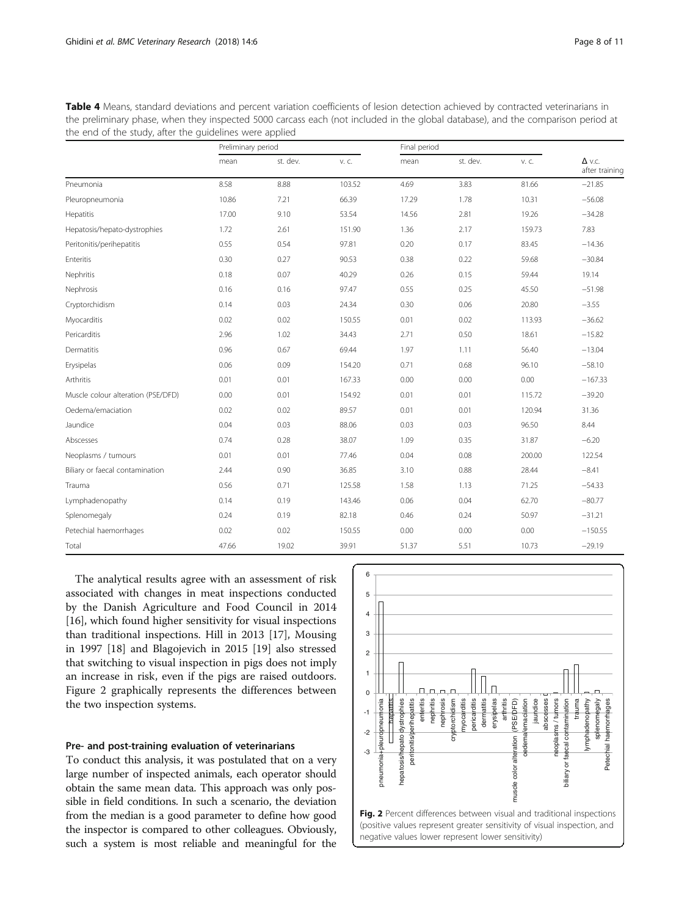<span id="page-7-0"></span>

| Table 4 Means, standard deviations and percent variation coefficients of lesion detection achieved by contracted veterinarians in |  |
|-----------------------------------------------------------------------------------------------------------------------------------|--|
| the preliminary phase, when they inspected 5000 carcass each (not included in the global database), and the comparison period at  |  |
| the end of the study, after the guidelines were applied                                                                           |  |

|                                    | Preliminary period |          |        | Final period |          |        |                                 |  |
|------------------------------------|--------------------|----------|--------|--------------|----------|--------|---------------------------------|--|
|                                    | mean               | st. dev. | V. C.  | mean         | st. dev. | V. C.  | $\Delta$ v.c.<br>after training |  |
| Pneumonia                          | 8.58               | 8.88     | 103.52 | 4.69         | 3.83     | 81.66  | $-21.85$                        |  |
| Pleuropneumonia                    | 10.86              | 7.21     | 66.39  | 17.29        | 1.78     | 10.31  | $-56.08$                        |  |
| Hepatitis                          | 17.00              | 9.10     | 53.54  | 14.56        | 2.81     | 19.26  | $-34.28$                        |  |
| Hepatosis/hepato-dystrophies       | 1.72               | 2.61     | 151.90 | 1.36         | 2.17     | 159.73 | 7.83                            |  |
| Peritonitis/perihepatitis          | 0.55               | 0.54     | 97.81  | 0.20         | 0.17     | 83.45  | $-14.36$                        |  |
| Enteritis                          | 0.30               | 0.27     | 90.53  | 0.38         | 0.22     | 59.68  | $-30.84$                        |  |
| Nephritis                          | 0.18               | 0.07     | 40.29  | 0.26         | 0.15     | 59.44  | 19.14                           |  |
| Nephrosis                          | 0.16               | 0.16     | 97.47  | 0.55         | 0.25     | 45.50  | $-51.98$                        |  |
| Cryptorchidism                     | 0.14               | 0.03     | 24.34  | 0.30         | 0.06     | 20.80  | $-3.55$                         |  |
| Myocarditis                        | 0.02               | 0.02     | 150.55 | 0.01         | 0.02     | 113.93 | $-36.62$                        |  |
| Pericarditis                       | 2.96               | 1.02     | 34.43  | 2.71         | 0.50     | 18.61  | $-15.82$                        |  |
| Dermatitis                         | 0.96               | 0.67     | 69.44  | 1.97         | 1.11     | 56.40  | $-13.04$                        |  |
| Erysipelas                         | 0.06               | 0.09     | 154.20 | 0.71         | 0.68     | 96.10  | $-58.10$                        |  |
| Arthritis                          | 0.01               | 0.01     | 167.33 | 0.00         | 0.00     | 0.00   | $-167.33$                       |  |
| Muscle colour alteration (PSE/DFD) | 0.00               | 0.01     | 154.92 | 0.01         | 0.01     | 115.72 | $-39.20$                        |  |
| Oedema/emaciation                  | 0.02               | 0.02     | 89.57  | 0.01         | 0.01     | 120.94 | 31.36                           |  |
| Jaundice                           | 0.04               | 0.03     | 88.06  | 0.03         | 0.03     | 96.50  | 8.44                            |  |
| Abscesses                          | 0.74               | 0.28     | 38.07  | 1.09         | 0.35     | 31.87  | $-6.20$                         |  |
| Neoplasms / tumours                | 0.01               | 0.01     | 77.46  | 0.04         | 0.08     | 200.00 | 122.54                          |  |
| Biliary or faecal contamination    | 2.44               | 0.90     | 36.85  | 3.10         | 0.88     | 28.44  | $-8.41$                         |  |
| Trauma                             | 0.56               | 0.71     | 125.58 | 1.58         | 1.13     | 71.25  | $-54.33$                        |  |
| Lymphadenopathy                    | 0.14               | 0.19     | 143.46 | 0.06         | 0.04     | 62.70  | $-80.77$                        |  |
| Splenomegaly                       | 0.24               | 0.19     | 82.18  | 0.46         | 0.24     | 50.97  | $-31.21$                        |  |
| Petechial haemorrhages             | 0.02               | 0.02     | 150.55 | 0.00         | 0.00     | 0.00   | $-150.55$                       |  |
| Total                              | 47.66              | 19.02    | 39.91  | 51.37        | 5.51     | 10.73  | $-29.19$                        |  |

The analytical results agree with an assessment of risk associated with changes in meat inspections conducted by the Danish Agriculture and Food Council in 2014 [[16\]](#page-9-0), which found higher sensitivity for visual inspections than traditional inspections. Hill in 2013 [\[17](#page-9-0)], Mousing in 1997 [[18\]](#page-10-0) and Blagojevich in 2015 [\[19](#page-10-0)] also stressed that switching to visual inspection in pigs does not imply an increase in risk, even if the pigs are raised outdoors. Figure 2 graphically represents the differences between the two inspection systems.

## Pre- and post-training evaluation of veterinarians

To conduct this analysis, it was postulated that on a very large number of inspected animals, each operator should obtain the same mean data. This approach was only possible in field conditions. In such a scenario, the deviation from the median is a good parameter to define how good the inspector is compared to other colleagues. Obviously, such a system is most reliable and meaningful for the

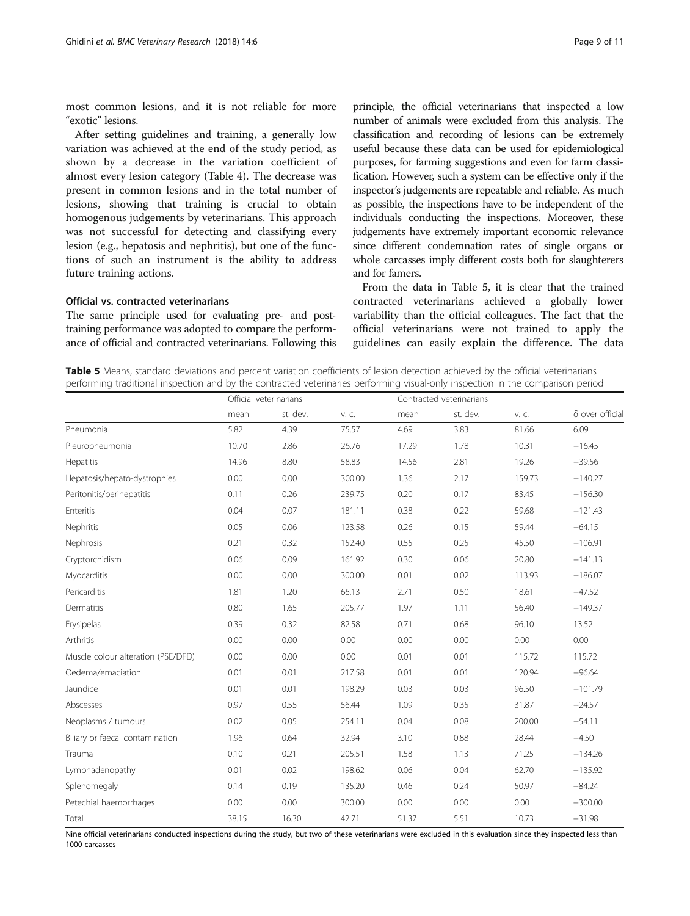most common lesions, and it is not reliable for more "exotic" lesions.

After setting guidelines and training, a generally low variation was achieved at the end of the study period, as shown by a decrease in the variation coefficient of almost every lesion category (Table [4\)](#page-7-0). The decrease was present in common lesions and in the total number of lesions, showing that training is crucial to obtain homogenous judgements by veterinarians. This approach was not successful for detecting and classifying every lesion (e.g., hepatosis and nephritis), but one of the functions of such an instrument is the ability to address future training actions.

## Official vs. contracted veterinarians

The same principle used for evaluating pre- and posttraining performance was adopted to compare the performance of official and contracted veterinarians. Following this

principle, the official veterinarians that inspected a low number of animals were excluded from this analysis. The classification and recording of lesions can be extremely useful because these data can be used for epidemiological purposes, for farming suggestions and even for farm classification. However, such a system can be effective only if the inspector's judgements are repeatable and reliable. As much as possible, the inspections have to be independent of the individuals conducting the inspections. Moreover, these judgements have extremely important economic relevance since different condemnation rates of single organs or whole carcasses imply different costs both for slaughterers and for famers.

From the data in Table 5, it is clear that the trained contracted veterinarians achieved a globally lower variability than the official colleagues. The fact that the official veterinarians were not trained to apply the guidelines can easily explain the difference. The data

Table 5 Means, standard deviations and percent variation coefficients of lesion detection achieved by the official veterinarians performing traditional inspection and by the contracted veterinaries performing visual-only inspection in the comparison period

|                                    |       | Official veterinarians |        | Contracted veterinarians |          |        |                 |
|------------------------------------|-------|------------------------|--------|--------------------------|----------|--------|-----------------|
|                                    | mean  | st. dev.               | V. C.  | mean                     | st. dev. | V. C.  | δ over official |
| Pneumonia                          | 5.82  | 4.39                   | 75.57  | 4.69                     | 3.83     | 81.66  | 6.09            |
| Pleuropneumonia                    | 10.70 | 2.86                   | 26.76  | 17.29                    | 1.78     | 10.31  | $-16.45$        |
| Hepatitis                          | 14.96 | 8.80                   | 58.83  | 14.56                    | 2.81     | 19.26  | $-39.56$        |
| Hepatosis/hepato-dystrophies       | 0.00  | 0.00                   | 300.00 | 1.36                     | 2.17     | 159.73 | $-140.27$       |
| Peritonitis/perihepatitis          | 0.11  | 0.26                   | 239.75 | 0.20                     | 0.17     | 83.45  | $-156.30$       |
| Enteritis                          | 0.04  | 0.07                   | 181.11 | 0.38                     | 0.22     | 59.68  | $-121.43$       |
| Nephritis                          | 0.05  | 0.06                   | 123.58 | 0.26                     | 0.15     | 59.44  | $-64.15$        |
| Nephrosis                          | 0.21  | 0.32                   | 152.40 | 0.55                     | 0.25     | 45.50  | $-106.91$       |
| Cryptorchidism                     | 0.06  | 0.09                   | 161.92 | 0.30                     | 0.06     | 20.80  | $-141.13$       |
| Myocarditis                        | 0.00  | 0.00                   | 300.00 | 0.01                     | 0.02     | 113.93 | $-186.07$       |
| Pericarditis                       | 1.81  | 1.20                   | 66.13  | 2.71                     | 0.50     | 18.61  | $-47.52$        |
| Dermatitis                         | 0.80  | 1.65                   | 205.77 | 1.97                     | 1.11     | 56.40  | $-149.37$       |
| Erysipelas                         | 0.39  | 0.32                   | 82.58  | 0.71                     | 0.68     | 96.10  | 13.52           |
| Arthritis                          | 0.00  | 0.00                   | 0.00   | 0.00                     | 0.00     | 0.00   | 0.00            |
| Muscle colour alteration (PSE/DFD) | 0.00  | 0.00                   | 0.00   | 0.01                     | 0.01     | 115.72 | 115.72          |
| Oedema/emaciation                  | 0.01  | 0.01                   | 217.58 | 0.01                     | 0.01     | 120.94 | $-96.64$        |
| Jaundice                           | 0.01  | 0.01                   | 198.29 | 0.03                     | 0.03     | 96.50  | $-101.79$       |
| Abscesses                          | 0.97  | 0.55                   | 56.44  | 1.09                     | 0.35     | 31.87  | $-24.57$        |
| Neoplasms / tumours                | 0.02  | 0.05                   | 254.11 | 0.04                     | 0.08     | 200.00 | $-54.11$        |
| Biliary or faecal contamination    | 1.96  | 0.64                   | 32.94  | 3.10                     | 0.88     | 28.44  | $-4.50$         |
| Trauma                             | 0.10  | 0.21                   | 205.51 | 1.58                     | 1.13     | 71.25  | $-134.26$       |
| Lymphadenopathy                    | 0.01  | 0.02                   | 198.62 | 0.06                     | 0.04     | 62.70  | $-135.92$       |
| Splenomegaly                       | 0.14  | 0.19                   | 135.20 | 0.46                     | 0.24     | 50.97  | $-84.24$        |
| Petechial haemorrhages             | 0.00  | 0.00                   | 300.00 | 0.00                     | 0.00     | 0.00   | $-300.00$       |
| Total                              | 38.15 | 16.30                  | 42.71  | 51.37                    | 5.51     | 10.73  | $-31.98$        |

Nine official veterinarians conducted inspections during the study, but two of these veterinarians were excluded in this evaluation since they inspected less than 1000 carcasses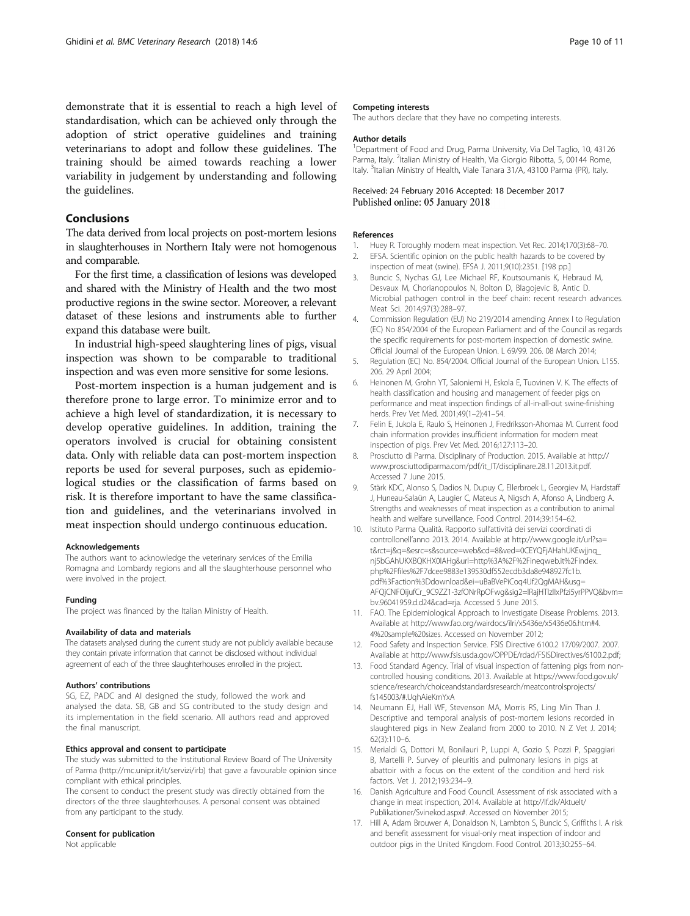<span id="page-9-0"></span>demonstrate that it is essential to reach a high level of standardisation, which can be achieved only through the adoption of strict operative guidelines and training veterinarians to adopt and follow these guidelines. The training should be aimed towards reaching a lower variability in judgement by understanding and following the guidelines.

## Conclusions

The data derived from local projects on post-mortem lesions in slaughterhouses in Northern Italy were not homogenous and comparable.

For the first time, a classification of lesions was developed and shared with the Ministry of Health and the two most productive regions in the swine sector. Moreover, a relevant dataset of these lesions and instruments able to further expand this database were built.

In industrial high-speed slaughtering lines of pigs, visual inspection was shown to be comparable to traditional inspection and was even more sensitive for some lesions.

Post-mortem inspection is a human judgement and is therefore prone to large error. To minimize error and to achieve a high level of standardization, it is necessary to develop operative guidelines. In addition, training the operators involved is crucial for obtaining consistent data. Only with reliable data can post-mortem inspection reports be used for several purposes, such as epidemiological studies or the classification of farms based on risk. It is therefore important to have the same classification and guidelines, and the veterinarians involved in meat inspection should undergo continuous education.

#### Acknowledgements

The authors want to acknowledge the veterinary services of the Emilia Romagna and Lombardy regions and all the slaughterhouse personnel who were involved in the project.

#### Funding

The project was financed by the Italian Ministry of Health.

## Availability of data and materials

The datasets analysed during the current study are not publicly available because they contain private information that cannot be disclosed without individual agreement of each of the three slaughterhouses enrolled in the project.

#### Authors' contributions

SG, EZ, PADC and AI designed the study, followed the work and analysed the data. SB, GB and SG contributed to the study design and its implementation in the field scenario. All authors read and approved the final manuscript.

## Ethics approval and consent to participate

The study was submitted to the Institutional Review Board of The University of Parma ([http://mc.unipr.it/it/servizi/irb\)](http://mc.unipr.it/it/servizi/irb) that gave a favourable opinion since compliant with ethical principles.

The consent to conduct the present study was directly obtained from the directors of the three slaughterhouses. A personal consent was obtained from any participant to the study.

## Consent for publication

Not applicable

#### Competing interests

The authors declare that they have no competing interests.

#### Author details

<sup>1</sup>Department of Food and Drug, Parma University, Via Del Taglio, 10, 43126 Parma, Italy. <sup>2</sup>Italian Ministry of Health, Via Giorgio Ribotta, 5, 00144 Rome, Italy. <sup>3</sup>Italian Ministry of Health, Viale Tanara 31/A, 43100 Parma (PR), Italy.

#### Received: 24 February 2016 Accepted: 18 December 2017 Published online: 05 January 2018

#### References

- 1. Huey R. Toroughly modern meat inspection. Vet Rec. 2014;170(3):68–70.
- 2. EFSA. Scientific opinion on the public health hazards to be covered by inspection of meat (swine). EFSA J. 2011;9(10):2351. [198 pp.]
- 3. Buncic S, Nychas GJ, Lee Michael RF, Koutsoumanis K, Hebraud M, Desvaux M, Chorianopoulos N, Bolton D, Blagojevic B, Antic D. Microbial pathogen control in the beef chain: recent research advances. Meat Sci. 2014;97(3):288–97.
- 4. Commission Regulation (EU) No 219/2014 amending Annex I to Regulation (EC) No 854/2004 of the European Parliament and of the Council as regards the specific requirements for post-mortem inspection of domestic swine. Official Journal of the European Union. L 69/99. 206. 08 March 2014;
- 5. Regulation (EC) No. 854/2004. Official Journal of the European Union. L155. 206. 29 April 2004;
- 6. Heinonen M, Grohn YT, Saloniemi H, Eskola E, Tuovinen V. K. The effects of health classification and housing and management of feeder pigs on performance and meat inspection findings of all-in-all-out swine-finishing herds. Prev Vet Med. 2001;49(1–2):41–54.
- 7. Felin E, Jukola E, Raulo S, Heinonen J, Fredriksson-Ahomaa M. Current food chain information provides insufficient information for modern meat inspection of pigs. Prev Vet Med. 2016;127:113–20.
- 8. Prosciutto di Parma. Disciplinary of Production. 2015. Available at [http://](http://www.prosciuttodiparma.com/pdf/it_IT/disciplinare.28.11.2013.it.pdf) [www.prosciuttodiparma.com/pdf/it\\_IT/disciplinare.28.11.2013.it.pdf](http://www.prosciuttodiparma.com/pdf/it_IT/disciplinare.28.11.2013.it.pdf). Accessed 7 June 2015.
- 9. Stärk KDC, Alonso S, Dadios N, Dupuy C, Ellerbroek L, Georgiev M, Hardstaff J, Huneau-Salaün A, Laugier C, Mateus A, Nigsch A, Afonso A, Lindberg A. Strengths and weaknesses of meat inspection as a contribution to animal health and welfare surveillance. Food Control. 2014;39:154–62.
- 10. Istituto Parma Qualità. Rapporto sull'attività dei servizi coordinati di controllonell'anno 2013. 2014. Available at http://www.google.it/url?sa= t&rct=j&q=&esrc=s&source=web&cd=8&ved=0CEYQFjAHahUKEwjjnq\_ nj5bGAhUKXBQKHX0IAHg&url=http%3A%2F%2Fineqweb.it%2Findex. php%2Ffiles%2F7dcee9883e139530df552ecdb3da8e948927fc1b. pdf%3Faction%3Ddownload&ei=uBaBVePiCoq4Uf2QgMAH&usg= AFQjCNFOijufCr\_9C9ZZ1-3zfONrRpOFwg&sig2=lRajHTlzlIxPfzi5yrPPVQ&bvm= bv.96041959.d.d24&cad=rja. Accessed 5 June 2015.
- 11. FAO. The Epidemiological Approach to Investigate Disease Problems. 2013. Available at [http://www.fao.org/wairdocs/ilri/x5436e/x5436e06.htm#4.](http://www.fao.org/wairdocs/ilri/x5436e/x5436e06.htm#4.4%20sample%20sizes) [4%20sample%20sizes](http://www.fao.org/wairdocs/ilri/x5436e/x5436e06.htm#4.4%20sample%20sizes). Accessed on November 2012;
- 12. Food Safety and Inspection Service. FSIS Directive 6100.2 17/09/2007. 2007. Available at [http://www.fsis.usda.gov/OPPDE/rdad/FSISDirectives/6100.2.pdf;](http://www.fsis.usda.gov/OPPDE/rdad/FSISDirectives/6100.2.pdf)
- 13. Food Standard Agency. Trial of visual inspection of fattening pigs from noncontrolled housing conditions. 2013. Available at [https://www.food.gov.uk/](https://www.food.gov.uk/science/research/choiceandstandardsresearch/meatcontrolsprojects/fs145003/%23.UqhAieKmYxA) [science/research/choiceandstandardsresearch/meatcontrolsprojects/](https://www.food.gov.uk/science/research/choiceandstandardsresearch/meatcontrolsprojects/fs145003/%23.UqhAieKmYxA) [fs145003/#.UqhAieKmYxA](https://www.food.gov.uk/science/research/choiceandstandardsresearch/meatcontrolsprojects/fs145003/%23.UqhAieKmYxA)
- 14. Neumann EJ, Hall WF, Stevenson MA, Morris RS, Ling Min Than J. Descriptive and temporal analysis of post-mortem lesions recorded in slaughtered pigs in New Zealand from 2000 to 2010. N Z Vet J. 2014; 62(3):110–6.
- 15. Merialdi G, Dottori M, Bonilauri P, Luppi A, Gozio S, Pozzi P, Spaggiari B, Martelli P. Survey of pleuritis and pulmonary lesions in pigs at abattoir with a focus on the extent of the condition and herd risk factors. Vet J. 2012;193:234–9.
- 16. Danish Agriculture and Food Council. Assessment of risk associated with a change in meat inspection, 2014. Available at [http://lf.dk/Aktuelt/](http://lf.dk/Aktuelt/Publikationer/Svinekod.aspx) [Publikationer/Svinekod.aspx#.](http://lf.dk/Aktuelt/Publikationer/Svinekod.aspx) Accessed on November 2015;
- 17. Hill A, Adam Brouwer A, Donaldson N, Lambton S, Buncic S, Griffiths I. A risk and benefit assessment for visual-only meat inspection of indoor and outdoor pigs in the United Kingdom. Food Control. 2013;30:255–64.